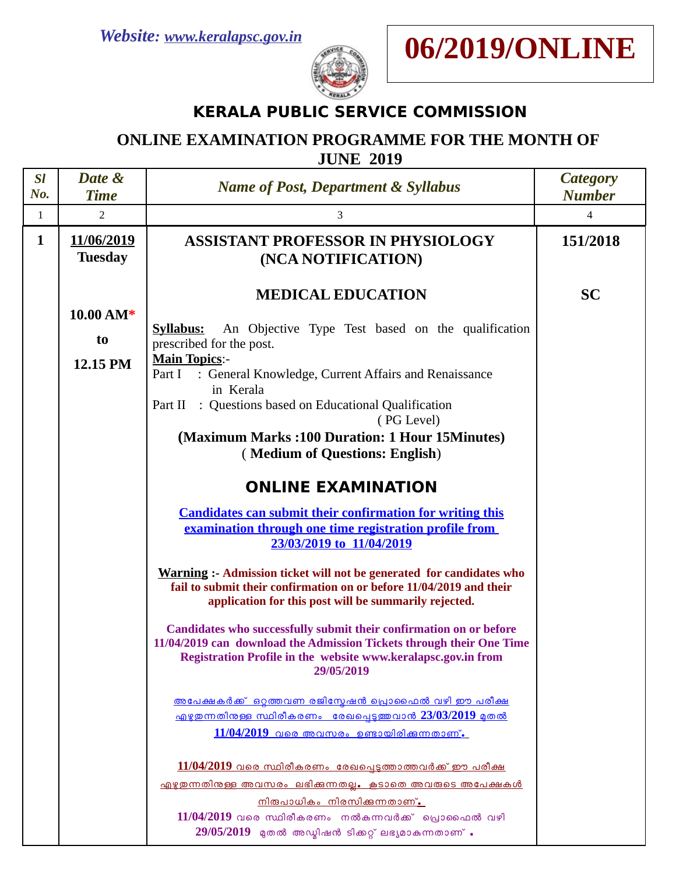



## **KERALA PUBLIC SERVICE COMMISSION**

## **ONLINE EXAMINATION PROGRAMME FOR THE MONTH OF JUNE 2019**

| <b>SI</b><br>No. | Date &<br><b>Time</b>                 | <b>Name of Post, Department &amp; Syllabus</b>                                                                                                                                                                                                                                                                                                                                                                                                                                                                                                                                                                                                                                                                                                                                                                                                                                                                                                                                                                                                                                                                                                                                                                                                                                                                                                                                                            | <b>Category</b><br><b>Number</b> |
|------------------|---------------------------------------|-----------------------------------------------------------------------------------------------------------------------------------------------------------------------------------------------------------------------------------------------------------------------------------------------------------------------------------------------------------------------------------------------------------------------------------------------------------------------------------------------------------------------------------------------------------------------------------------------------------------------------------------------------------------------------------------------------------------------------------------------------------------------------------------------------------------------------------------------------------------------------------------------------------------------------------------------------------------------------------------------------------------------------------------------------------------------------------------------------------------------------------------------------------------------------------------------------------------------------------------------------------------------------------------------------------------------------------------------------------------------------------------------------------|----------------------------------|
| $\mathbf{1}$     | $\overline{2}$                        | 3                                                                                                                                                                                                                                                                                                                                                                                                                                                                                                                                                                                                                                                                                                                                                                                                                                                                                                                                                                                                                                                                                                                                                                                                                                                                                                                                                                                                         | 4                                |
| $\mathbf{1}$     | 11/06/2019<br><b>Tuesday</b>          | <b>ASSISTANT PROFESSOR IN PHYSIOLOGY</b><br>(NCA NOTIFICATION)                                                                                                                                                                                                                                                                                                                                                                                                                                                                                                                                                                                                                                                                                                                                                                                                                                                                                                                                                                                                                                                                                                                                                                                                                                                                                                                                            | 151/2018                         |
|                  | $10.00 \text{ AM*}$<br>to<br>12.15 PM | <b>MEDICAL EDUCATION</b><br>An Objective Type Test based on the qualification<br><b>Syllabus:</b><br>prescribed for the post.<br><b>Main Topics:-</b><br>: General Knowledge, Current Affairs and Renaissance<br>Part I<br>in Kerala<br>Part II : Questions based on Educational Qualification<br>(PG Level)<br>(Maximum Marks: 100 Duration: 1 Hour 15Minutes)<br>(Medium of Questions: English)<br><b>ONLINE EXAMINATION</b><br><b>Candidates can submit their confirmation for writing this</b><br>examination through one time registration profile from<br>23/03/2019 to 11/04/2019<br><b>Warning :- Admission ticket will not be generated for candidates who</b><br>fail to submit their confirmation on or before 11/04/2019 and their<br>application for this post will be summarily rejected.<br>Candidates who successfully submit their confirmation on or before<br>11/04/2019 can download the Admission Tickets through their One Time<br>Registration Profile in the website www.keralapsc.gov.in from<br>29/05/2019<br><u>അപേക്ഷകർക്ക് ഒറ്റത്തവണ രജിസ്മേഷൻ പ്രൊഫൈൽ വഴി ഈ പരീക്ഷ</u><br><u> എഴുതന്നതിനള്ള സ്ഥിരീകരണം രേഖപ്പെടുത്തവാൻ 23/03/2019 മുതൽ</u><br>$11/04/2019$ വരെ അവസരം ഉണ്ടായിരിക്കുന്നതാണ്.<br><u>11/04/2019 വരെ സ്ഥിരീകരണം രേഖപ്പെടുത്താത്തവർക്ക് ഈ പരീക്ഷ</u><br><u>എഴുതന്നതിനുള്ള അവസരം ലഭിക്കുന്നതല്ല. കൂടാതെ അവരുടെ അപേക്ഷകൾ </u><br><u>നിരുപാധികം നിരസിക്കന്നതാണ്.</u> | <b>SC</b>                        |
|                  |                                       | $11/04/2019$ വരെ സ്ഥിരീകരണം നൽകുന്നവർക്ക് പ്രൊഫൈൽ വഴി<br>$29/05/2019$ മുതൽ അഡ്മിഷൻ ടിക്കറ്റ് ലഭ്യമാകുന്നതാണ് .                                                                                                                                                                                                                                                                                                                                                                                                                                                                                                                                                                                                                                                                                                                                                                                                                                                                                                                                                                                                                                                                                                                                                                                                                                                                                            |                                  |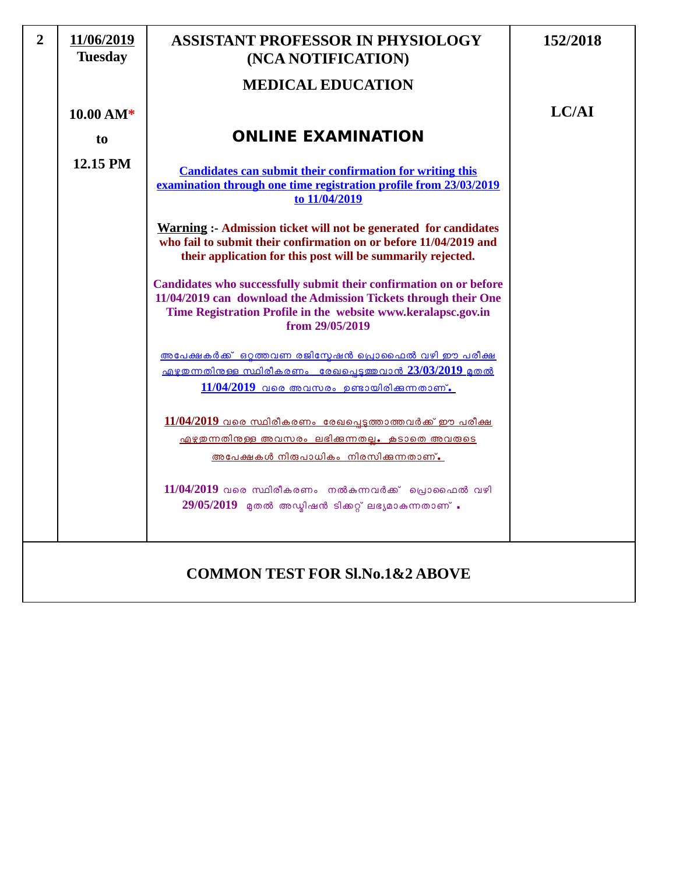| $\overline{2}$                              | 11/06/2019<br><b>Tuesday</b> | <b>ASSISTANT PROFESSOR IN PHYSIOLOGY</b><br>(NCA NOTIFICATION)                                                                                                                                                            | 152/2018 |
|---------------------------------------------|------------------------------|---------------------------------------------------------------------------------------------------------------------------------------------------------------------------------------------------------------------------|----------|
|                                             |                              | <b>MEDICAL EDUCATION</b>                                                                                                                                                                                                  |          |
|                                             | $10.00 AM*$                  |                                                                                                                                                                                                                           | LC/AI    |
|                                             | to                           | <b>ONLINE EXAMINATION</b>                                                                                                                                                                                                 |          |
|                                             | 12.15 PM                     | <b>Candidates can submit their confirmation for writing this</b><br>examination through one time registration profile from 23/03/2019<br>to 11/04/2019                                                                    |          |
|                                             |                              | <b>Warning :- Admission ticket will not be generated for candidates</b><br>who fail to submit their confirmation on or before 11/04/2019 and<br>their application for this post will be summarily rejected.               |          |
|                                             |                              | Candidates who successfully submit their confirmation on or before<br>11/04/2019 can download the Admission Tickets through their One<br>Time Registration Profile in the website www.keralapsc.gov.in<br>from 29/05/2019 |          |
|                                             |                              | <u>അപേക്ഷകർക്ക് ഒറ്റത്തവണ രജിസ്മേഷൻ പ്രൊഫൈൽ വഴി ഈ പരീക്ഷ</u><br>$\frac{1}{4}$ എഴുതന്നതിനുള്ള സ്ഥിരീകരണം രേഖപ്പെടുത്തവാൻ 23/03/2019 മുതൽ<br>$11/04/2019$ വരെ അവസരം ഉണ്ടായിരിക്കുന്നതാണ്.                                   |          |
|                                             |                              | $11/04/2019$ വരെ സ്ഥിരീകരണം രേഖപ്പെടുത്താത്തവർക്ക് ഈ പരീക്ഷ<br><u>എഴുതുന്നതിനുള്ള അവസരം ലഭിക്കുന്നതല്ല. കൂടാതെ അവരുടെ</u><br><u>അപേക്ഷകൾ നിരുപാധികം നിരസിക്കുന്നതാണ്.</u>                                                 |          |
|                                             |                              | $11/04/2019$ വരെ സ്ഥിരീകരണം നൽകുന്നവർക്ക് പ്രൊഫൈൽ വഴി<br>$29/05/2019$ മുതൽ അഡ്മിഷൻ ടിക്കറ്റ് ലഭ്യമാകുന്നതാണ്.                                                                                                             |          |
| <b>COMMON TEST FOR SI, No.1&amp;2 ABOVE</b> |                              |                                                                                                                                                                                                                           |          |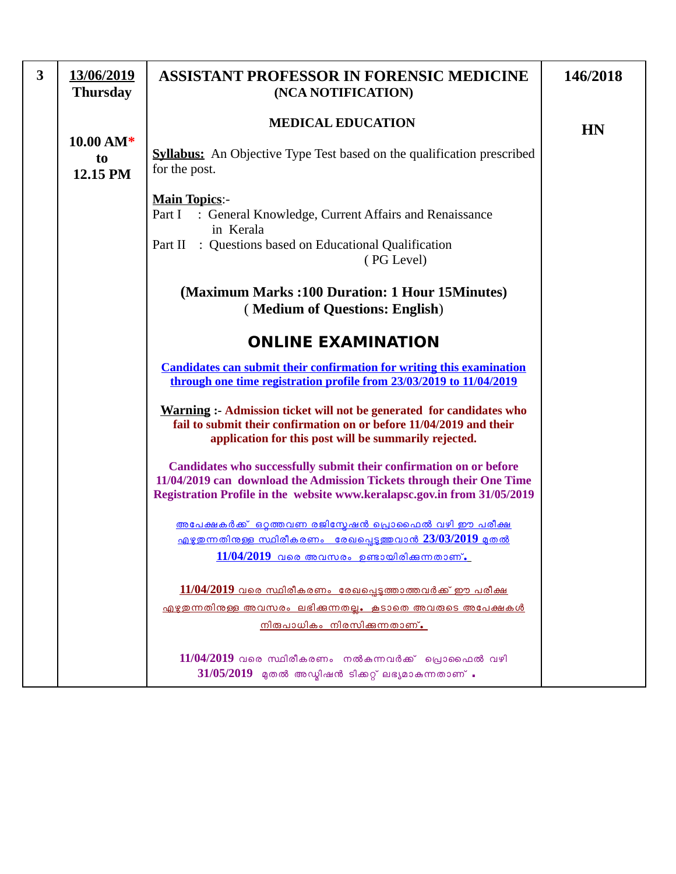| 3 | 13/06/2019<br><b>Thursday</b>         | <b>ASSISTANT PROFESSOR IN FORENSIC MEDICINE</b><br>(NCA NOTIFICATION)                                                                                                                                                  | 146/2018  |
|---|---------------------------------------|------------------------------------------------------------------------------------------------------------------------------------------------------------------------------------------------------------------------|-----------|
|   |                                       | <b>MEDICAL EDUCATION</b>                                                                                                                                                                                               | <b>HN</b> |
|   | $10.00 \text{ AM*}$<br>to<br>12.15 PM | <b>Syllabus:</b> An Objective Type Test based on the qualification prescribed<br>for the post.                                                                                                                         |           |
|   |                                       | <b>Main Topics:-</b><br>: General Knowledge, Current Affairs and Renaissance<br>Part I<br>in Kerala<br>Part II : Questions based on Educational Qualification<br>(PG Level)                                            |           |
|   |                                       | (Maximum Marks:100 Duration: 1 Hour 15 Minutes)<br>(Medium of Questions: English)                                                                                                                                      |           |
|   |                                       | <b>ONLINE EXAMINATION</b>                                                                                                                                                                                              |           |
|   |                                       | <b>Candidates can submit their confirmation for writing this examination</b><br>through one time registration profile from 23/03/2019 to 11/04/2019                                                                    |           |
|   |                                       | Warning :- Admission ticket will not be generated for candidates who<br>fail to submit their confirmation on or before 11/04/2019 and their<br>application for this post will be summarily rejected.                   |           |
|   |                                       | Candidates who successfully submit their confirmation on or before<br>11/04/2019 can download the Admission Tickets through their One Time<br>Registration Profile in the website www.keralapsc.gov.in from 31/05/2019 |           |
|   |                                       | <u>അപേക്ഷകർക്ക് ഒറ്റത്തവണ രജിസ്മേഷൻ പ്രൊഫൈൽ വഴി ഈ പരീക്ഷ</u><br>$\frac{1}{2}$ എഴുതുന്നതിനുള്ള സ്ഥിരീകരണം രേഖപ്പെടുത്തവാൻ 23/03/2019 മുതൽ<br>11/04/2019 വരെ അവസരം ഉണ്ടായിരിക്കുന്നതാണ്.                                 |           |
|   |                                       | $11/04/2019$ വരെ സ്ഥിരീകരണം രേഖപെടുത്താത്തവർക്ക് ഈ പരീക്ഷ<br><u>എഴുതന്നതിനുള്ള അവസരം ലഭിക്കുന്നതല്ല. കടാതെ അവരുടെ അപേക്ഷകൾ</u><br><u>നിരുപാധികം നിരസിക്കുന്നതാണ്.</u>                                                  |           |
|   |                                       | $11/04/2019$ വരെ സ്ഥിരീകരണം നൽകുന്നവർക്ക് പ്രൊഫൈൽ വഴി<br>$31/05/2019$ മുതൽ അഡ്മിഷൻ ടിക്കറ്റ് ലഭ്യമാകുന്നതാണ് .                                                                                                         |           |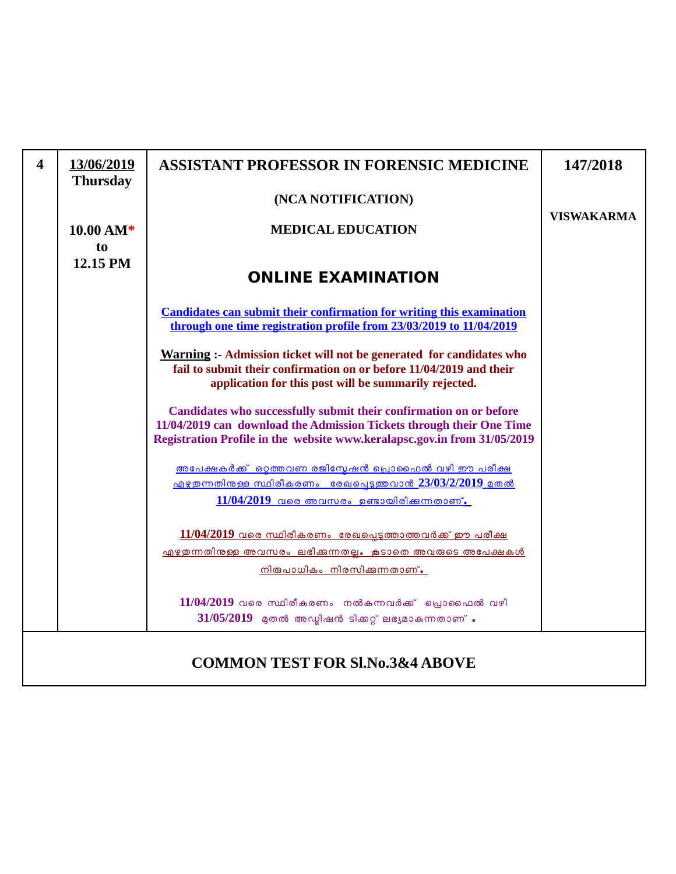| $\overline{\mathbf{4}}$ | 13/06/2019<br><b>Thursday</b> | <b>ASSISTANT PROFESSOR IN FORENSIC MEDICINE</b>                                                                                                                                                                        | 147/2018          |
|-------------------------|-------------------------------|------------------------------------------------------------------------------------------------------------------------------------------------------------------------------------------------------------------------|-------------------|
|                         |                               | (NCA NOTIFICATION)                                                                                                                                                                                                     | <b>VISWAKARMA</b> |
|                         | 10.00 AM*                     | <b>MEDICAL EDUCATION</b>                                                                                                                                                                                               |                   |
|                         | to<br>12.15 PM                | <b>ONLINE EXAMINATION</b>                                                                                                                                                                                              |                   |
|                         |                               | <b>Candidates can submit their confirmation for writing this examination</b><br>through one time registration profile from 23/03/2019 to 11/04/2019                                                                    |                   |
|                         |                               | <b>Warning :- Admission ticket will not be generated for candidates who</b><br>fail to submit their confirmation on or before 11/04/2019 and their<br>application for this post will be summarily rejected.            |                   |
|                         |                               | Candidates who successfully submit their confirmation on or before<br>11/04/2019 can download the Admission Tickets through their One Time<br>Registration Profile in the website www.keralapsc.gov.in from 31/05/2019 |                   |
|                         |                               | അപേക്ഷകർക്ക് ഒറ്റത്തവണ രജിസ്മേഷൻ പ്രൊഫൈൽ വഴി ഈ പരീക്ഷ<br>$\frac{1}{2}$ എഴുതന്നതിനുള്ള സ്ഥിരീകരണം രേഖപെടുത്തവാൻ 23/03/2/2019 മുതൽ<br>$11/04/2019$ വരെ അവസരം ഉണ്ടായിരിക്കുന്നതാണ്.                                       |                   |
|                         |                               | $11/04/2019$ വരെ സ്ഥിരീകരണം രേഖപ്പെടുത്താത്തവർക്ക് ഈ പരീക്ഷ<br><u> എഴുതുന്നതിനള്ള അവസരം ലഭിക്കുന്നതല്ല. കൂടാതെ അവരുടെ അപേക്ഷകൾ </u><br><u>നിരുപാധികം നിരസിക്കുന്നതാണ്.</u>                                             |                   |
|                         |                               | $11/04/2019$ വരെ സ്ഥിരീകരണം നൽകുന്നവർക്ക് പ്രൊഫൈൽ വഴി<br>$31/05/2019$ മുതൽ അഡ്യിഷൻ ടിക്കറ്റ് ലഭ്യമാകുന്നതാണ്.                                                                                                          |                   |
|                         |                               | <b>COMMON TEST FOR SI.No.3&amp;4 ABOVE</b>                                                                                                                                                                             |                   |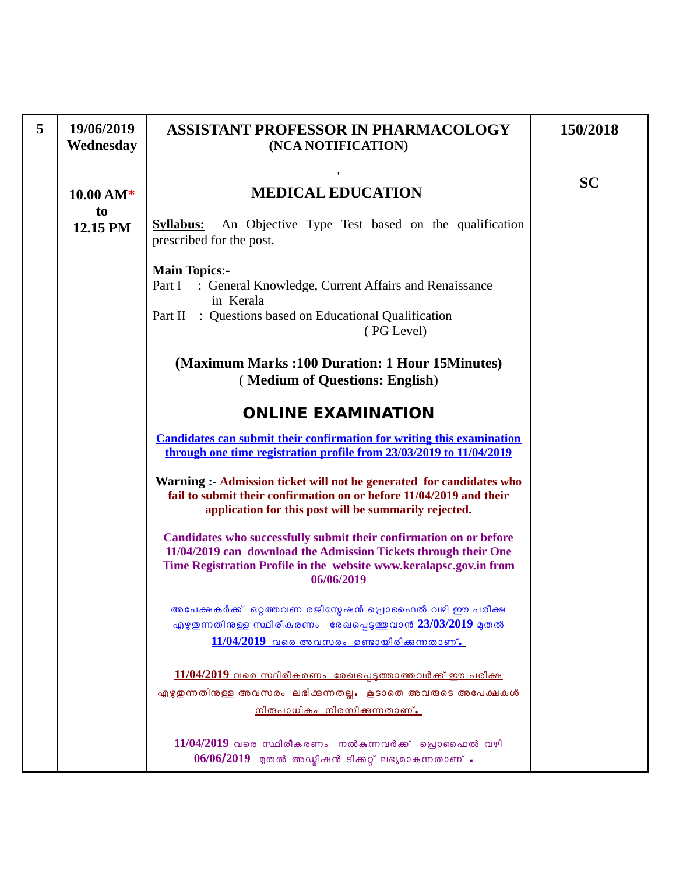| 5 | 19/06/2019<br>Wednesday                 | <b>ASSISTANT PROFESSOR IN PHARMACOLOGY</b><br>(NCA NOTIFICATION)                                                                                                                                                          | 150/2018  |
|---|-----------------------------------------|---------------------------------------------------------------------------------------------------------------------------------------------------------------------------------------------------------------------------|-----------|
|   | $10.00\,\mathrm{AM*}$<br>to<br>12.15 PM | <b>MEDICAL EDUCATION</b><br>An Objective Type Test based on the qualification<br><u>Syllabus:</u><br>prescribed for the post.                                                                                             | <b>SC</b> |
|   |                                         | <b>Main Topics:-</b><br>Part I : General Knowledge, Current Affairs and Renaissance<br>in Kerala<br>Part II : Questions based on Educational Qualification<br>(PG Level)                                                  |           |
|   |                                         | (Maximum Marks: 100 Duration: 1 Hour 15 Minutes)<br>(Medium of Questions: English)                                                                                                                                        |           |
|   |                                         | <b>ONLINE EXAMINATION</b>                                                                                                                                                                                                 |           |
|   |                                         | <b>Candidates can submit their confirmation for writing this examination</b><br>through one time registration profile from 23/03/2019 to 11/04/2019                                                                       |           |
|   |                                         | <b>Warning :- Admission ticket will not be generated for candidates who</b><br>fail to submit their confirmation on or before 11/04/2019 and their<br>application for this post will be summarily rejected.               |           |
|   |                                         | Candidates who successfully submit their confirmation on or before<br>11/04/2019 can download the Admission Tickets through their One<br>Time Registration Profile in the website www.keralapsc.gov.in from<br>06/06/2019 |           |
|   |                                         | <u>അപേക്ഷകർക്ക് ഒറ്റത്തവണ രജിസ്ലേഷൻ പ്രൊഫൈൽ വഴി ഈ പരീക്ഷ</u><br><u> എഴുതന്നതിനുള്ള സ്ഥിരീകരണം രേഖപ്പെട്ടത്തവാൻ 23/03/2019 മുതൽ</u><br>$11/04/2019$ വരെ അവസരം ഉണ്ടായിരിക്കുന്നതാണ്.                                        |           |
|   |                                         | $11/04/2019$ വരെ സ്ഥിരീകരണം രേഖപ്പെടുത്താത്തവർക്ക് ഈ പരീക്ഷ<br><u>എഴുതുന്നതിനുള്ള അവസരം ലഭിക്കുന്നതല്ല. കൂടാതെ അവരുടെ അപേക്ഷകൾ</u><br><u>നിരുപാധികം നിരസിക്കന്നതാണ്.</u>                                                  |           |
|   |                                         | $11/04/2019$ വരെ സ്ഥിരീകരണം നൽകുന്നവർക്ക് പ്രൊഫൈൽ വഴി<br>$06/06/2019$ മുതൽ അഡ്മിഷൻ ടിക്കറ്റ് ലഭ്യമാകുന്നതാണ് .                                                                                                            |           |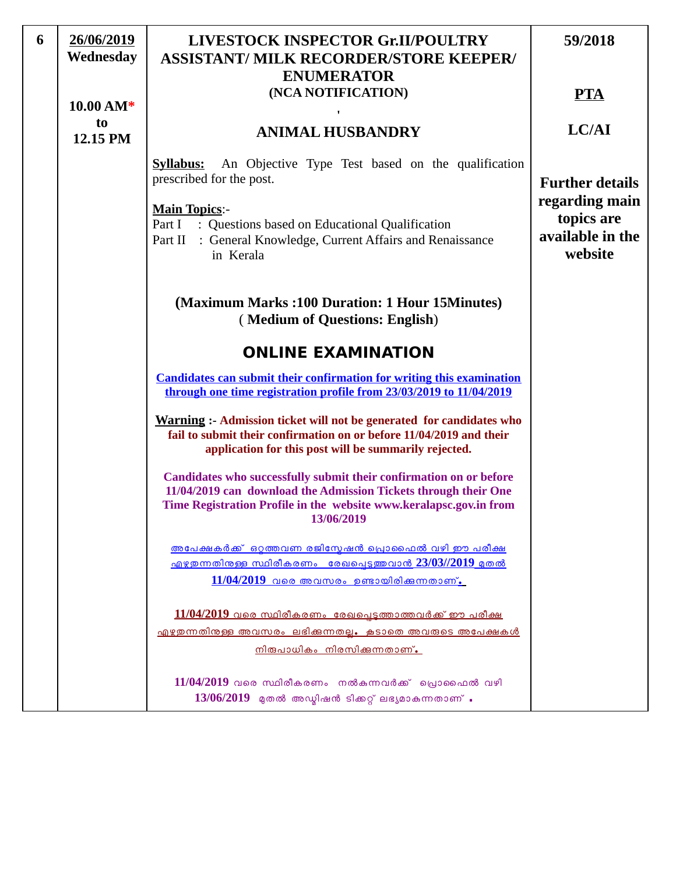| 6 | 26/06/2019<br>Wednesday | LIVESTOCK INSPECTOR Gr.II/POULTRY<br><b>ASSISTANT/ MILK RECORDER/STORE KEEPER/</b>                                                                                                                                        | 59/2018                                                     |
|---|-------------------------|---------------------------------------------------------------------------------------------------------------------------------------------------------------------------------------------------------------------------|-------------------------------------------------------------|
|   | $10.00\,\mathrm{AM*}$   | <b>ENUMERATOR</b><br>(NCA NOTIFICATION)                                                                                                                                                                                   | <b>PTA</b>                                                  |
|   | to<br>12.15 PM          | <b>ANIMAL HUSBANDRY</b>                                                                                                                                                                                                   | LC/AI                                                       |
|   |                         | An Objective Type Test based on the qualification<br><b>Syllabus:</b><br>prescribed for the post.                                                                                                                         | <b>Further details</b>                                      |
|   |                         | <b>Main Topics:-</b><br>Part I<br>: Questions based on Educational Qualification<br>: General Knowledge, Current Affairs and Renaissance<br>Part II<br>in Kerala                                                          | regarding main<br>topics are<br>available in the<br>website |
|   |                         | (Maximum Marks: 100 Duration: 1 Hour 15Minutes)<br>(Medium of Questions: English)                                                                                                                                         |                                                             |
|   |                         | <b>ONLINE EXAMINATION</b>                                                                                                                                                                                                 |                                                             |
|   |                         | <b>Candidates can submit their confirmation for writing this examination</b><br>through one time registration profile from 23/03/2019 to 11/04/2019                                                                       |                                                             |
|   |                         | <b>Warning :- Admission ticket will not be generated for candidates who</b><br>fail to submit their confirmation on or before 11/04/2019 and their<br>application for this post will be summarily rejected.               |                                                             |
|   |                         | Candidates who successfully submit their confirmation on or before<br>11/04/2019 can download the Admission Tickets through their One<br>Time Registration Profile in the website www.keralapsc.gov.in from<br>13/06/2019 |                                                             |
|   |                         | അപേക്ഷകർക്ക് ഒറ്റത്തവണ രജിസ്മേഷൻ പ്രൊഫൈൽ വഴി ഈ പരീക്ഷ<br><u>എഴുതന്നതിനുള്ള സ്ഥിരീകരണം രേഖപ്പെട്ടുത്തവാൻ 23/03//2019 മുതൽ</u>                                                                                              |                                                             |
|   |                         | $11/04/2019$ വരെ അവസരം ഉണ്ടായിരിക്കുന്നതാണ്.                                                                                                                                                                              |                                                             |
|   |                         | <u>11/04/2019 വരെ സ്ഥിരീകരണം രേഖപ്പെടുത്താത്തവർക്ക് ഈ പരീക്ഷ</u><br><u>എഴുതന്നതിനുള്ള അവസരം ലഭിക്കുന്നതല്ല. കൂടാതെ അവരുടെ അപേക്ഷകൾ</u><br><u>നിരുപാധികം നിരസിക്കന്നതാണ്.</u>                                              |                                                             |
|   |                         | $11/04/2019$ വരെ സ്ഥിരീകരണം നൽകന്നവർക്ക് പ്രൊഫൈൽ വഴി<br>$13/06/2019$ മുതൽ അഡ്മിഷൻ ടിക്കറ്റ് ലഭ്യമാകുന്നതാണ് .                                                                                                             |                                                             |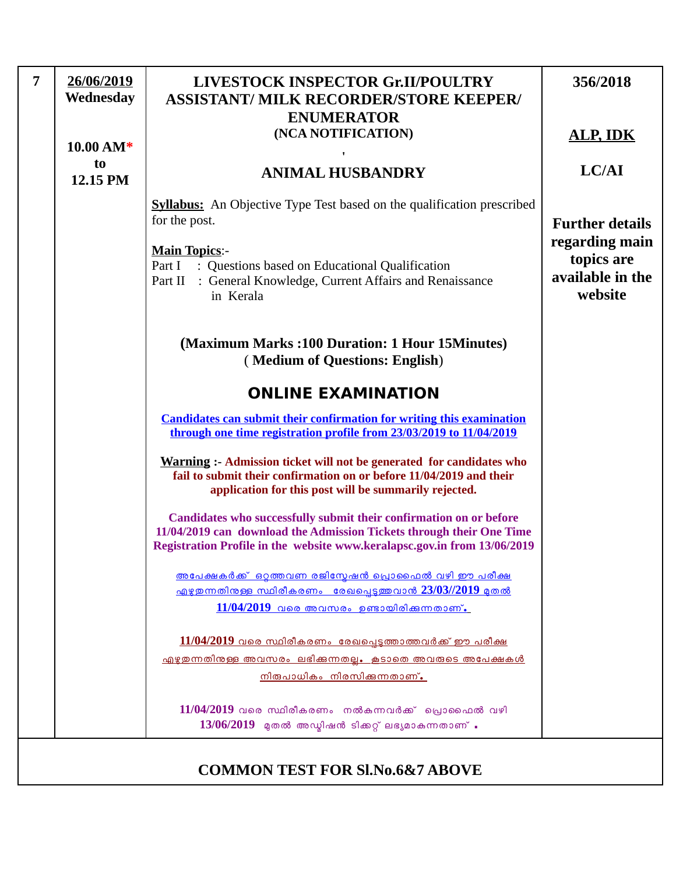| $\overline{7}$ | 26/06/2019<br>Wednesday | LIVESTOCK INSPECTOR Gr.II/POULTRY<br><b>ASSISTANT/ MILK RECORDER/STORE KEEPER/</b><br><b>ENUMERATOR</b>                                                                                                                | 356/2018                                                    |
|----------------|-------------------------|------------------------------------------------------------------------------------------------------------------------------------------------------------------------------------------------------------------------|-------------------------------------------------------------|
|                | 10.00 AM*               | (NCA NOTIFICATION)                                                                                                                                                                                                     | <b>ALP, IDK</b>                                             |
|                | to<br>12.15 PM          | <b>ANIMAL HUSBANDRY</b>                                                                                                                                                                                                | LC/AI                                                       |
|                |                         | <b>Syllabus:</b> An Objective Type Test based on the qualification prescribed<br>for the post.                                                                                                                         | <b>Further details</b>                                      |
|                |                         | <b>Main Topics:-</b><br>: Questions based on Educational Qualification<br>Part I<br>: General Knowledge, Current Affairs and Renaissance<br>Part II<br>in Kerala                                                       | regarding main<br>topics are<br>available in the<br>website |
|                |                         | (Maximum Marks:100 Duration: 1 Hour 15 Minutes)<br>(Medium of Questions: English)                                                                                                                                      |                                                             |
|                |                         | <b>ONLINE EXAMINATION</b>                                                                                                                                                                                              |                                                             |
|                |                         | <b>Candidates can submit their confirmation for writing this examination</b><br>through one time registration profile from 23/03/2019 to 11/04/2019                                                                    |                                                             |
|                |                         | Warning :- Admission ticket will not be generated for candidates who<br>fail to submit their confirmation on or before 11/04/2019 and their<br>application for this post will be summarily rejected.                   |                                                             |
|                |                         | Candidates who successfully submit their confirmation on or before<br>11/04/2019 can download the Admission Tickets through their One Time<br>Registration Profile in the website www.keralapsc.gov.in from 13/06/2019 |                                                             |
|                |                         | <u>അപേക്ഷകർക്ക് ഒറ്റത്തവണ രജിസ്മേഷൻ പ്രൊഫൈൽ വഴി ഈ പരീക്ഷ</u><br><u>എഴുതന്നതിനുള്ള സ്ഥിരീകരണം രേഖപ്പെടുത്തവാൻ 23/03//2019 മുതൽ</u><br>$11/04/2019$ വരെ അവസരം ഉണ്ടായിരിക്കുന്നതാണ്.                                      |                                                             |
|                |                         | $11/04/2019$ വരെ സ്ഥിരീകരണം രേഖപ്പെടുത്താത്തവർക്ക് ഈ പരീക്ഷ                                                                                                                                                            |                                                             |
|                |                         | <u>എഴുതന്നതിനുള്ള അവസരം ലഭിക്കുന്നതല്ല. കൂടാതെ അവരുടെ അപേക്ഷകൾ</u><br><u>നിരുപാധികം നിരസിക്കന്നതാണ്.</u>                                                                                                               |                                                             |
|                |                         | $11/04/2019$ വരെ സ്ഥിരീകരണം നൽകുന്നവർക്ക് പ്രൊഫൈൽ വഴി<br>$13/06/2019$ മുതൽ അഡ്മിഷൻ ടിക്കറ്റ് ലഭ്യമാകുന്നതാണ് .                                                                                                         |                                                             |
|                |                         | <b>COMMON TEST FOR SI.No.6&amp;7 ABOVE</b>                                                                                                                                                                             |                                                             |